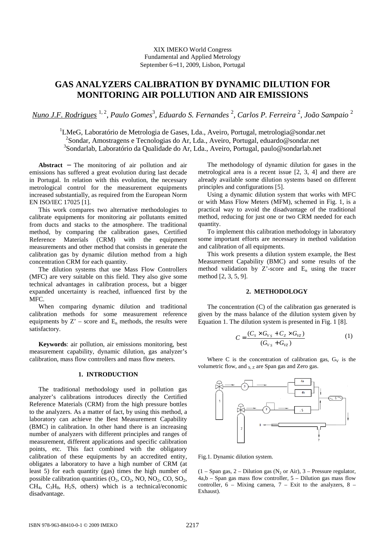# **GAS ANALYZERS CALIBRATION BY DYNAMIC DILUTION FOR MONITORING AIR POLLUTION AND AIR EMISSIONS**

*Nuno J.F. Rodrigues* 1, 2 , *Paulo Gomes*<sup>3</sup> *, Eduardo S. Fernandes* <sup>2</sup> *, Carlos P. Ferreira* <sup>2</sup> *, João Sampaio* <sup>2</sup>

<sup>1</sup>LMeG, Laboratório de Metrologia de Gases, Lda., Aveiro, Portugal, metrologia@sondar.net <sup>2</sup>Sondar, Amostragens e Tecnologias do Ar, Lda., Aveiro, Portugal, eduardo@sondar.net 3 Sondarlab, Laboratório da Qualidade do Ar, Lda., Aveiro, Portugal, paulo@sondarlab.net

**Abstract** − The monitoring of air pollution and air emissions has suffered a great evolution during last decade in Portugal. In relation with this evolution, the necessary metrological control for the measurement equipments increased substantially, as required from the European Norm EN ISO/IEC 17025 [1].

This work compares two alternative methodologies to calibrate equipments for monitoring air pollutants emitted from ducts and stacks to the atmosphere. The traditional method, by comparing the calibration gases, Certified Reference Materials (CRM) with the equipment measurements and other method that consists in generate the calibration gas by dynamic dilution method from a high concentration CRM for each quantity.

The dilution systems that use Mass Flow Controllers (MFC) are very suitable on this field. They also give some technical advantages in calibration process, but a bigger expanded uncertainty is reached, influenced first by the MFC.

When comparing dynamic dilution and traditional calibration methods for some measurement reference equipments by  $Z'$  – score and  $E_n$  methods, the results were satisfactory.

**Keywords**: air pollution, air emissions monitoring, best measurement capability, dynamic dilution, gas analyzer's calibration, mass flow controllers and mass flow meters.

### **1. INTRODUCTION**

The traditional methodology used in pollution gas analyzer's calibrations introduces directly the Certified Reference Materials (CRM) from the high pressure bottles to the analyzers. As a matter of fact, by using this method, a laboratory can achieve the Best Measurement Capability (BMC) in calibration. In other hand there is an increasing number of analyzers with different principles and ranges of measurement, different applications and specific calibration points, etc. This fact combined with the obligatory calibration of these equipments by an accredited entity, obligates a laboratory to have a high number of CRM (at least 5) for each quantity (gas) times the high number of possible calibration quantities  $(O_2, CO_2, NO, NO_2, CO, SO_2,$  $CH<sub>4</sub>$ ,  $C<sub>3</sub>H<sub>8</sub>$ ,  $H<sub>2</sub>S$ , others) which is a technical/economic disadvantage.

The methodology of dynamic dilution for gases in the metrological area is a recent issue [2, 3, 4] and there are already available some dilution systems based on different principles and configurations [5].

Using a dynamic dilution system that works with MFC or with Mass Flow Meters (MFM), schemed in Fig. 1, is a practical way to avoid the disadvantage of the traditional method, reducing for just one or two CRM needed for each quantity.

To implement this calibration methodology in laboratory some important efforts are necessary in method validation and calibration of all equipments.

This work presents a dilution system example, the Best Measurement Capability (BMC) and some results of the method validation by  $Z'$ -score and  $E_n$  using the tracer method [2, 3, 5, 9].

#### **2. METHODOLOGY**

The concentration (C) of the calibration gas generated is given by the mass balance of the dilution system given by Equation 1. The dilution system is presented in Fig. 1 [8].

$$
C = \frac{(C_s \times G_{v_s} + C_z \times G_{vz})}{(G_{v_s} + G_{vz})}
$$
 (1)

Where C is the concentration of calibration gas,  $G_V$  is the volumetric flow, and  $_{S,Z}$  are Span gas and Zero gas.



Fig.1. Dynamic dilution system.

 $(1 - Span gas, 2 - Dilution gas (N<sub>2</sub> or Air), 3 - Pressure regulator,$ 4a,b – Span gas mass flow controller, 5 – Dilution gas mass flow controller,  $6 -$  Mixing camera,  $7 -$  Exit to the analyzers,  $8 -$ Exhaust).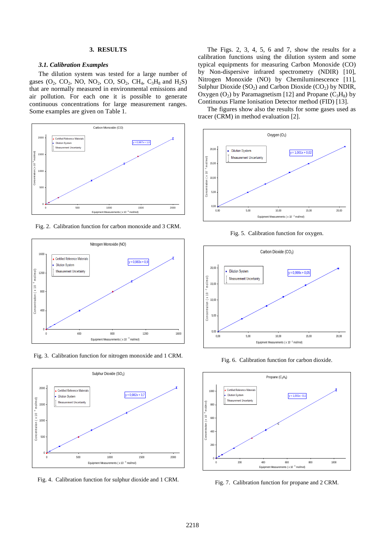## **3. RESULTS**

#### *3.1. Calibration Examples*

The dilution system was tested for a large number of gases ( $O_2$ ,  $CO_2$ , NO, NO<sub>2</sub>, CO, SO<sub>2</sub>, CH<sub>4</sub>, C<sub>3</sub>H<sub>8</sub> and H<sub>2</sub>S) that are normally measured in environmental emissions and air pollution. For each one it is possible to generate continuous concentrations for large measurement ranges. Some examples are given on Table 1.



Fig. 2. Calibration function for carbon monoxide and 3 CRM.



Fig. 3. Calibration function for nitrogen monoxide and 1 CRM.



Fig. 4. Calibration function for sulphur dioxide and 1 CRM.

The Figs. 2, 3, 4, 5, 6 and 7, show the results for a calibration functions using the dilution system and some typical equipments for measuring Carbon Monoxide (CO) by Non-dispersive infrared spectrometry (NDIR) [10], Nitrogen Monoxide (NO) by Chemiluminescence [11], Sulphur Dioxide  $(SO<sub>2</sub>)$  and Carbon Dioxide  $(CO<sub>2</sub>)$  by NDIR, Oxygen  $(O_2)$  by Paramagnetism [12] and Propane  $(C_3H_8)$  by Continuous Flame Ionisation Detector method (FID) [13].

The figures show also the results for some gases used as tracer (CRM) in method evaluation [2].



Fig. 5. Calibration function for oxygen.



Fig. 6. Calibration function for carbon dioxide.



Fig. 7. Calibration function for propane and 2 CRM.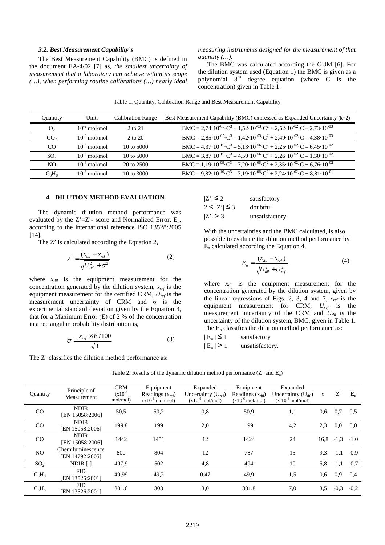#### *3.2. Best Measurement Capability's*

The Best Measurement Capability (BMC) is defined in the document EA-4/02 [7] as, *the smallest uncertainty of measurement that a laboratory can achieve within its scope (…), when performing routine calibrations (…) nearly ideal*  *measuring instruments designed for the measurement of that quantity (…).*

The BMC was calculated according the GUM [6]. For the dilution system used (Equation 1) the BMC is given as a polynomial  $3<sup>rd</sup>$  degree equation (where C is the concentration) given in Table 1.

| Table 1. Quantity, Calibration Range and Best Measurement Capability |  |  |
|----------------------------------------------------------------------|--|--|
|                                                                      |  |  |

| Quantity        | Units             | <b>Calibration Range</b> | Best Measurement Capability (BMC) expressed as Expanded Uncertainty $(k=2)$                                                                                                                     |
|-----------------|-------------------|--------------------------|-------------------------------------------------------------------------------------------------------------------------------------------------------------------------------------------------|
| O <sub>2</sub>  | $10^{-2}$ mol/mol | 2 to 21                  | BMC = 2,74.10 <sup>-05</sup> · C <sup>3</sup> - 1,52.10 <sup>-03</sup> · C <sup>2</sup> + 2,52.10 <sup>-02</sup> · C - 2,73.10 <sup>-03</sup>                                                   |
| CO <sub>2</sub> | $10^{-2}$ mol/mol | 2 to 20                  | BMC = 2,85.10 <sup>-05</sup> · C <sup>3</sup> - 1,42.10 <sup>-03</sup> · C <sup>2</sup> + 2,49.10 <sup>-02</sup> · C - 4,38.10 <sup>-03</sup>                                                   |
| CO.             | $10^{-6}$ mol/mol | 10 to 5000               | BMC = 4,37 $\cdot$ 10 <sup>-10</sup> $\cdot$ C <sup>3</sup> – 5,13 $\cdot$ 10 <sup>-06</sup> $\cdot$ C <sup>2</sup> + 2,25 $\cdot$ 10 <sup>-02</sup> $\cdot$ C – 6,45 $\cdot$ 10 <sup>-02</sup> |
| SO <sub>2</sub> | $10^{-6}$ mol/mol | 10 to 5000               | BMC = 3,87 $\cdot$ 10 <sup>-10</sup> $\cdot$ C <sup>3</sup> – 4,59 $\cdot$ 10 <sup>-06</sup> $\cdot$ C <sup>2</sup> + 2,26 $\cdot$ 10 <sup>-02</sup> $\cdot$ C – 1,30 $\cdot$ 10 <sup>-02</sup> |
| N <sub>O</sub>  | $10^{-6}$ mol/mol | $20 \text{ to } 2500$    | BMC = 1,19 $\cdot$ 10 <sup>-09</sup> · C <sup>3</sup> – 7,20 $\cdot$ 10 <sup>-06</sup> · C <sup>2</sup> + 2,35 · 10 <sup>-02</sup> · C + 6,76 · 10 <sup>-02</sup>                               |
| $C_3H_8$        | $10^{-6}$ mol/mol | 10 to 3000               | BMC = 9,82.10 <sup>-10</sup> ·C <sup>3</sup> – 7,19·10 <sup>-06</sup> ·C <sup>2</sup> + 2,24·10 <sup>-02</sup> ·C + 8,81·10 <sup>-01</sup>                                                      |

### **4. DILUTION METHOD EVALUATION**

The dynamic dilution method performance was evaluated by the  $Z'=Z'$ - score and Normalized Error,  $E_n$ , according to the international reference ISO 13528:2005  $[14]$ .

The Z' is calculated according the Equation 2,

$$
Z' = \frac{(x_{dil} - x_{ref})}{\sqrt{U_{ref}^2 + \sigma^2}}
$$
 (2)

where *xdil* is the equipment measurement for the concentration generated by the dilution system, *xref* is the equipment measurement for the certified CRM, *Uref* is the measurement uncertainty of CRM and  $\sigma$  is the experimental standard deviation given by the Equation 3, that for a Maximum Error (E) of 2 % of the concentration in a rectangular probability distribution is,

$$
\sigma = \frac{x_{ref} \times E/100}{\sqrt{3}}
$$
 (3)

The Z' classifies the dilution method performance as:

| $ Z'  \leq 2$     | satisfactory   |
|-------------------|----------------|
| $2 <  Z'  \leq 3$ | doubtful       |
| Z'  > 3           | unsatisfactory |

With the uncertainties and the BMC calculated, is also possible to evaluate the dilution method performance by  $E_n$  calculated according the Equation 4,

$$
E_n = \frac{(x_{dil} - x_{ref})}{\sqrt{U_{dil}^2 + U_{ref}^2}}
$$
 (4)

where *xdil* is the equipment measurement for the concentration generated by the dilution system, given by the linear regressions of Figs. 2, 3, 4 and 7, *xref* is the equipment measurement for CRM, *Uref* is the measurement uncertainty of the CRM and *Udil* is the uncertainty of the dilution system, BMC, given in Table 1. The  $E_n$  classifies the dilution method performance as:

| $ E_n  \leq 1$ | satisfactory    |
|----------------|-----------------|
| $ E_n  > 1$    | unsatisfactory. |

| Table 2. Results of the dynamic dilution method performance $(Z'$ and $E_n$ ) |  |  |  |
|-------------------------------------------------------------------------------|--|--|--|
|-------------------------------------------------------------------------------|--|--|--|

| Quantity        | Principle of<br>Measurement           | <b>CRM</b><br>$(x10^{-6})$<br>mol/mol) | Equipment<br>Readings $(x_{ref})$<br>$(x10^{-6} \text{ mol/mol})$ | Expanded<br>Uncertainty $(U_{ref})$<br>$(x10^{-6} \text{ mol/mol})$ | Equipment<br>Readings $(x_{di})$<br>$(x10^{-6} \text{ mol/mol})$ | Expanded<br>Uncertainty $(U_{di})$<br>$(x 10^{-6} \text{ mol/mol})$ | $\sigma$ | $Z^{\prime}$ | $E_n$  |
|-----------------|---------------------------------------|----------------------------------------|-------------------------------------------------------------------|---------------------------------------------------------------------|------------------------------------------------------------------|---------------------------------------------------------------------|----------|--------------|--------|
| CO              | <b>NDIR</b><br><b>IEN 15058:20061</b> | 50,5                                   | 50,2                                                              | 0,8                                                                 | 50,9                                                             | 1,1                                                                 | 0.6      | 0,7          | 0.5    |
| CO              | <b>NDIR</b><br>[EN 15058:2006]        | 199,8                                  | 199                                                               | 2,0                                                                 | 199                                                              | 4,2                                                                 | 2,3      | $0.0\,$      | 0.0    |
| CO              | <b>NDIR</b><br>[EN 15058:2006]        | 1442                                   | 1451                                                              | 12                                                                  | 1424                                                             | 24                                                                  | 16,8     | $-1,3$       | $-1,0$ |
| NO              | Chemiluminescence<br>[EN 14792:2005]  | 800                                    | 804                                                               | 12                                                                  | 787                                                              | 15                                                                  | 9.3      | $-1,1$       | $-0.9$ |
| SO <sub>2</sub> | $NDIR$ [-]                            | 497,9                                  | 502                                                               | 4,8                                                                 | 494                                                              | 10                                                                  | 5,8      | $-1,1$       | $-0,7$ |
| $C_3H_8$        | <b>FID</b><br>[EN 13526:2001]         | 49,99                                  | 49,2                                                              | 0,47                                                                | 49,9                                                             | 1,5                                                                 | 0.6      | 0.9          | 0,4    |
| $C_3H_8$        | <b>FID</b><br>EN 13526:2001]          | 301,6                                  | 303                                                               | 3,0                                                                 | 301,8                                                            | 7,0                                                                 | 3,5      | $-0,3$       | $-0,2$ |